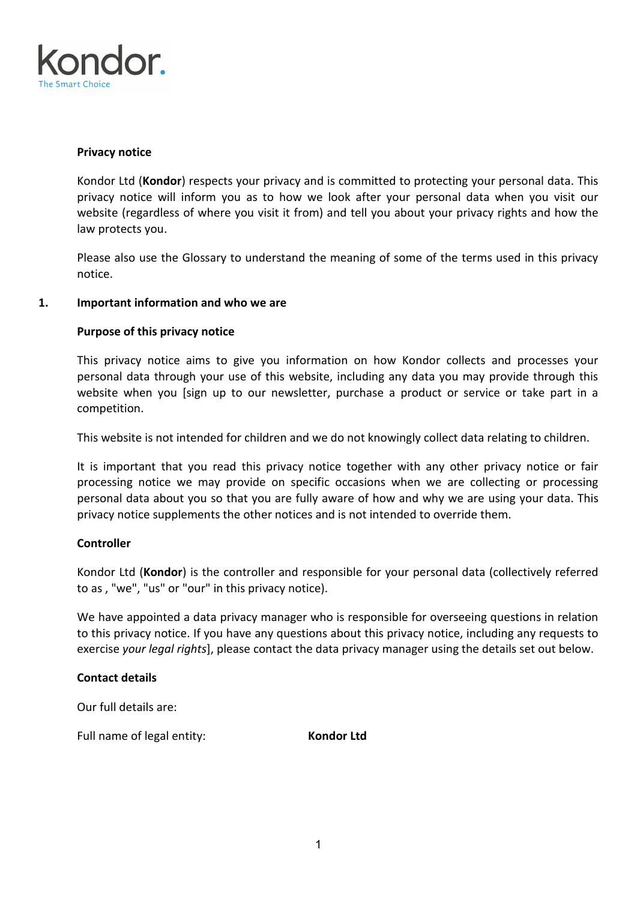

## **Privacy notice**

Kondor Ltd (**Kondor**) respects your privacy and is committed to protecting your personal data. This privacy notice will inform you as to how we look after your personal data when you visit our website (regardless of where you visit it from) and tell you about your privacy rights and how the law protects you.

Please also use the Glossary to understand the meaning of some of the terms used in this privacy notice.

## **1. Important information and who we are**

# **Purpose of this privacy notice**

This privacy notice aims to give you information on how Kondor collects and processes your personal data through your use of this website, including any data you may provide through this website when you [sign up to our newsletter, purchase a product or service or take part in a competition.

This website is not intended for children and we do not knowingly collect data relating to children.

It is important that you read this privacy notice together with any other privacy notice or fair processing notice we may provide on specific occasions when we are collecting or processing personal data about you so that you are fully aware of how and why we are using your data. This privacy notice supplements the other notices and is not intended to override them.

## **Controller**

Kondor Ltd (**Kondor**) is the controller and responsible for your personal data (collectively referred to as , "we", "us" or "our" in this privacy notice).

We have appointed a data privacy manager who is responsible for overseeing questions in relation to this privacy notice. If you have any questions about this privacy notice, including any requests to exercise *your legal rights*], please contact the data privacy manager using the details set out below.

## **Contact details**

Our full details are:

Full name of legal entity: **Kondor Ltd**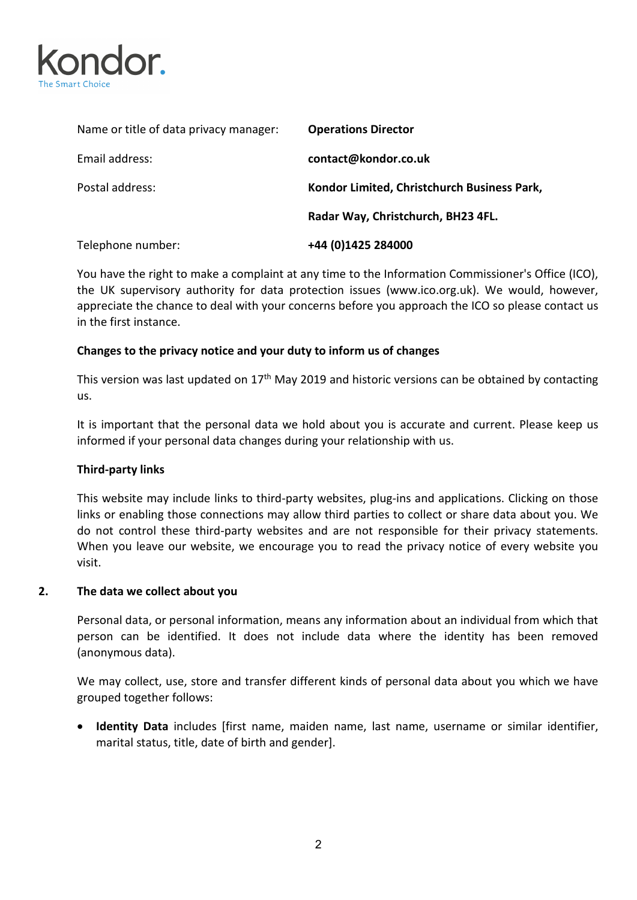

| Name or title of data privacy manager: | <b>Operations Director</b>                  |
|----------------------------------------|---------------------------------------------|
| Email address:                         | contact@kondor.co.uk                        |
| Postal address:                        | Kondor Limited, Christchurch Business Park, |
|                                        | Radar Way, Christchurch, BH23 4FL.          |
| Telephone number:                      | +44 (0)1425 284000                          |

You have the right to make a complaint at any time to the Information Commissioner's Office (ICO), the UK supervisory authority for data protection issues (www.ico.org.uk). We would, however, appreciate the chance to deal with your concerns before you approach the ICO so please contact us in the first instance.

# **Changes to the privacy notice and your duty to inform us of changes**

This version was last updated on 17<sup>th</sup> May 2019 and historic versions can be obtained by contacting us.

It is important that the personal data we hold about you is accurate and current. Please keep us informed if your personal data changes during your relationship with us.

## **Third-party links**

This website may include links to third-party websites, plug-ins and applications. Clicking on those links or enabling those connections may allow third parties to collect or share data about you. We do not control these third-party websites and are not responsible for their privacy statements. When you leave our website, we encourage you to read the privacy notice of every website you visit.

#### **2. The data we collect about you**

Personal data, or personal information, means any information about an individual from which that person can be identified. It does not include data where the identity has been removed (anonymous data).

We may collect, use, store and transfer different kinds of personal data about you which we have grouped together follows:

• **Identity Data** includes [first name, maiden name, last name, username or similar identifier, marital status, title, date of birth and gender].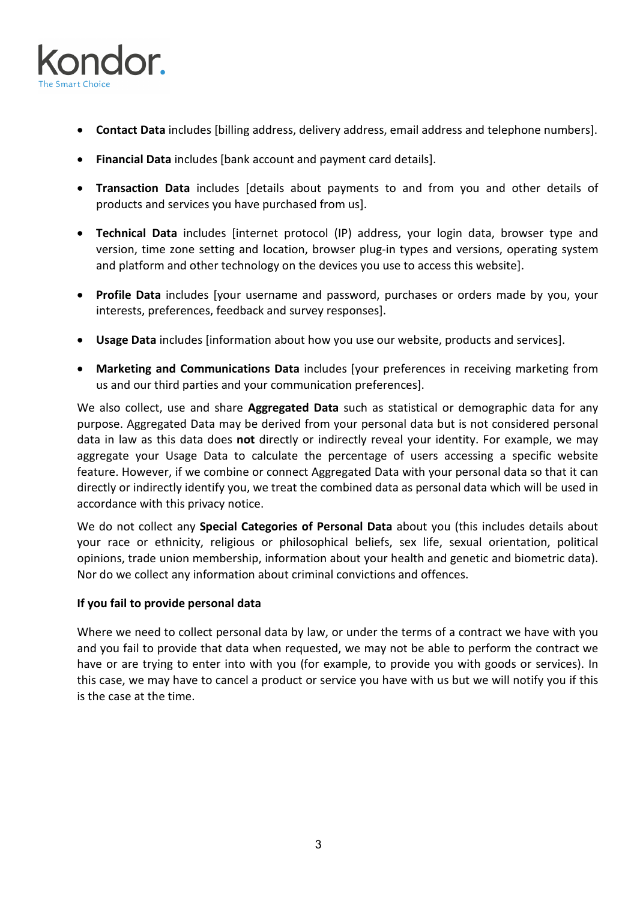

- **Contact Data** includes [billing address, delivery address, email address and telephone numbers].
- **Financial Data** includes [bank account and payment card details].
- **Transaction Data** includes [details about payments to and from you and other details of products and services you have purchased from us].
- **Technical Data** includes [internet protocol (IP) address, your login data, browser type and version, time zone setting and location, browser plug-in types and versions, operating system and platform and other technology on the devices you use to access this website].
- **Profile Data** includes [your username and password, purchases or orders made by you, your interests, preferences, feedback and survey responses].
- **Usage Data** includes [information about how you use our website, products and services].
- **Marketing and Communications Data** includes [your preferences in receiving marketing from us and our third parties and your communication preferences].

We also collect, use and share **Aggregated Data** such as statistical or demographic data for any purpose. Aggregated Data may be derived from your personal data but is not considered personal data in law as this data does **not** directly or indirectly reveal your identity. For example, we may aggregate your Usage Data to calculate the percentage of users accessing a specific website feature. However, if we combine or connect Aggregated Data with your personal data so that it can directly or indirectly identify you, we treat the combined data as personal data which will be used in accordance with this privacy notice.

We do not collect any **Special Categories of Personal Data** about you (this includes details about your race or ethnicity, religious or philosophical beliefs, sex life, sexual orientation, political opinions, trade union membership, information about your health and genetic and biometric data). Nor do we collect any information about criminal convictions and offences.

## **If you fail to provide personal data**

Where we need to collect personal data by law, or under the terms of a contract we have with you and you fail to provide that data when requested, we may not be able to perform the contract we have or are trying to enter into with you (for example, to provide you with goods or services). In this case, we may have to cancel a product or service you have with us but we will notify you if this is the case at the time.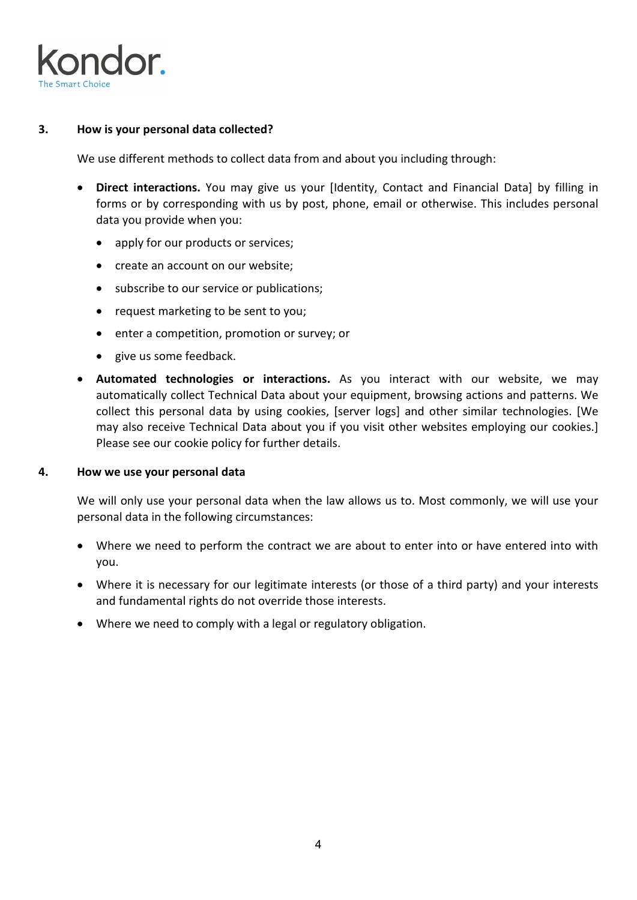

## **3. How is your personal data collected?**

We use different methods to collect data from and about you including through:

- **Direct interactions.** You may give us your [Identity, Contact and Financial Data] by filling in forms or by corresponding with us by post, phone, email or otherwise. This includes personal data you provide when you:
	- apply for our products or services;
	- create an account on our website;
	- subscribe to our service or publications;
	- request marketing to be sent to you;
	- enter a competition, promotion or survey; or
	- give us some feedback.
- **Automated technologies or interactions.** As you interact with our website, we may automatically collect Technical Data about your equipment, browsing actions and patterns. We collect this personal data by using cookies, [server logs] and other similar technologies. [We may also receive Technical Data about you if you visit other websites employing our cookies.] Please see our cookie policy for further details.

## **4. How we use your personal data**

We will only use your personal data when the law allows us to. Most commonly, we will use your personal data in the following circumstances:

- Where we need to perform the contract we are about to enter into or have entered into with you.
- Where it is necessary for our legitimate interests (or those of a third party) and your interests and fundamental rights do not override those interests.
- Where we need to comply with a legal or regulatory obligation.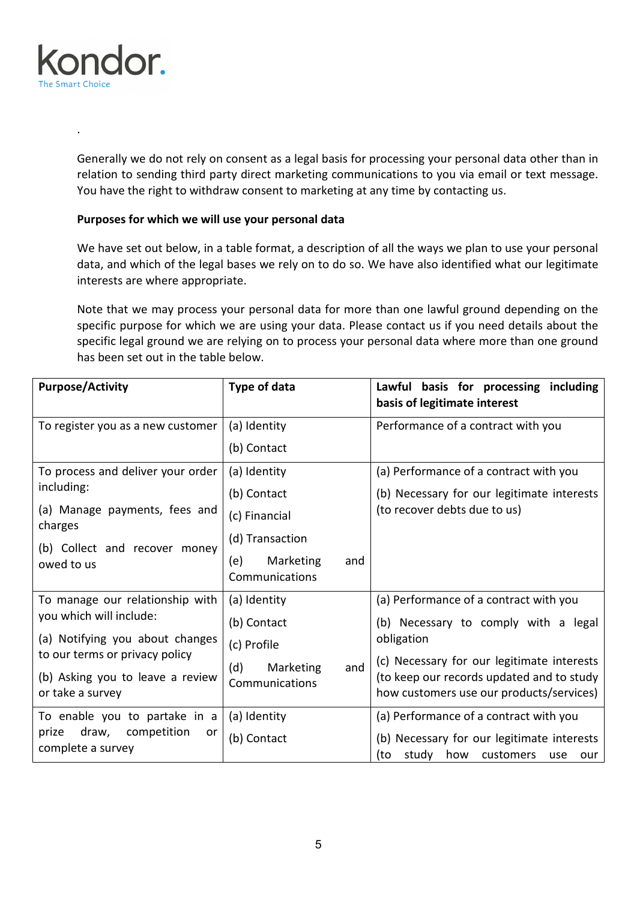

.

Generally we do not rely on consent as a legal basis for processing your personal data other than in relation to sending third party direct marketing communications to you via email or text message. You have the right to withdraw consent to marketing at any time by contacting us.

# **Purposes for which we will use your personal data**

We have set out below, in a table format, a description of all the ways we plan to use your personal data, and which of the legal bases we rely on to do so. We have also identified what our legitimate interests are where appropriate.

Note that we may process your personal data for more than one lawful ground depending on the specific purpose for which we are using your data. Please contact us if you need details about the specific legal ground we are relying on to process your personal data where more than one ground has been set out in the table below.

| <b>Purpose/Activity</b>                                                                | Type of data                              | Lawful basis for processing including<br>basis of legitimate interest                     |
|----------------------------------------------------------------------------------------|-------------------------------------------|-------------------------------------------------------------------------------------------|
| To register you as a new customer                                                      | (a) Identity                              | Performance of a contract with you                                                        |
|                                                                                        | (b) Contact                               |                                                                                           |
| To process and deliver your order                                                      | (a) Identity                              | (a) Performance of a contract with you                                                    |
| including:                                                                             | (b) Contact                               | (b) Necessary for our legitimate interests                                                |
| (a) Manage payments, fees and<br>charges                                               | (c) Financial                             | (to recover debts due to us)                                                              |
| (b) Collect and recover money                                                          | (d) Transaction                           |                                                                                           |
| owed to us                                                                             | Marketing<br>(e)<br>and<br>Communications |                                                                                           |
| To manage our relationship with                                                        | (a) Identity                              | (a) Performance of a contract with you                                                    |
| you which will include:                                                                | (b) Contact                               | (b) Necessary to comply with a legal                                                      |
| (a) Notifying you about changes                                                        | (c) Profile                               | obligation                                                                                |
| to our terms or privacy policy<br>(b) Asking you to leave a review<br>or take a survey | Marketing<br>and<br>(d)<br>Communications | (c) Necessary for our legitimate interests                                                |
|                                                                                        |                                           | (to keep our records updated and to study<br>how customers use our products/services)     |
| To enable you to partake in a<br>draw, competition<br>prize<br>or<br>complete a survey | (a) Identity                              | (a) Performance of a contract with you                                                    |
|                                                                                        | (b) Contact                               | (b) Necessary for our legitimate interests<br>study how<br>customers<br>(to<br>use<br>our |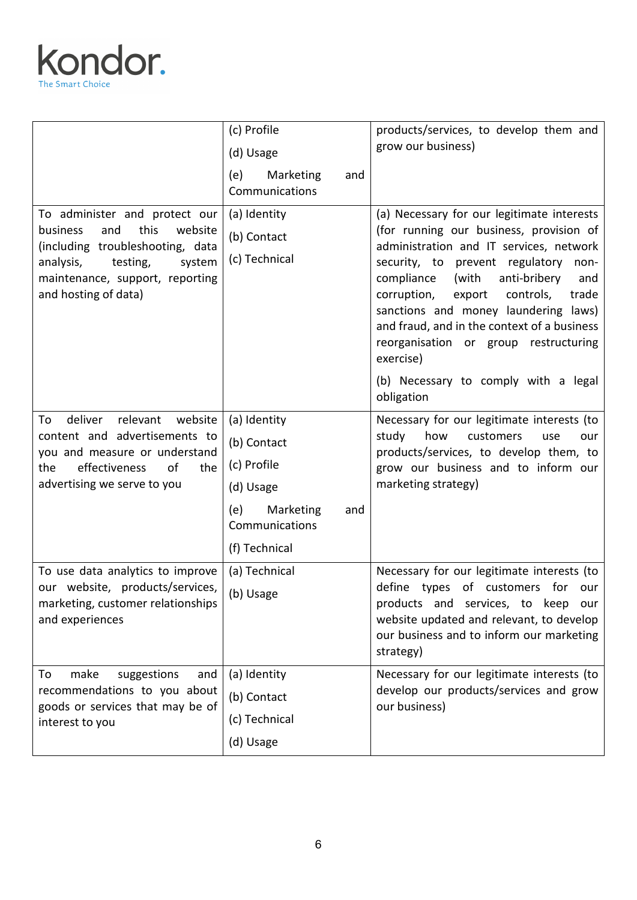

|                                                                                                                                                                                                       | (c) Profile<br>(d) Usage<br>(e)<br>Marketing<br>and                                                  | products/services, to develop them and<br>grow our business)                                                                                                                                                                                                                                                                                                                                                          |
|-------------------------------------------------------------------------------------------------------------------------------------------------------------------------------------------------------|------------------------------------------------------------------------------------------------------|-----------------------------------------------------------------------------------------------------------------------------------------------------------------------------------------------------------------------------------------------------------------------------------------------------------------------------------------------------------------------------------------------------------------------|
| To administer and protect our<br>this<br>business<br>and<br>website<br>(including troubleshooting, data<br>analysis,<br>testing,<br>system<br>maintenance, support, reporting<br>and hosting of data) | Communications<br>(a) Identity<br>(b) Contact<br>(c) Technical                                       | (a) Necessary for our legitimate interests<br>(for running our business, provision of<br>administration and IT services, network<br>security, to prevent regulatory<br>non-<br>compliance<br>(with<br>anti-bribery<br>and<br>corruption,<br>controls,<br>export<br>trade<br>sanctions and money laundering laws)<br>and fraud, and in the context of a business<br>reorganisation or group restructuring<br>exercise) |
| relevant<br>website<br>To<br>deliver<br>content and advertisements to<br>you and measure or understand<br>effectiveness<br>of<br>the<br>the<br>advertising we serve to you                            | (a) Identity<br>(b) Contact<br>(c) Profile<br>(d) Usage<br>Marketing<br>(e)<br>and<br>Communications | (b) Necessary to comply with a legal<br>obligation<br>Necessary for our legitimate interests (to<br>study<br>how<br>customers<br>use<br>our<br>products/services, to develop them, to<br>grow our business and to inform our<br>marketing strategy)                                                                                                                                                                   |
| To use data analytics to improve<br>our website, products/services,<br>marketing, customer relationships<br>and experiences                                                                           | (f) Technical<br>(a) Technical<br>(b) Usage                                                          | Necessary for our legitimate interests (to<br>define types of customers for our<br>products and services, to keep our<br>website updated and relevant, to develop<br>our business and to inform our marketing<br>strategy)                                                                                                                                                                                            |
| make<br>suggestions<br>To<br>and<br>recommendations to you about<br>goods or services that may be of<br>interest to you                                                                               | (a) Identity<br>(b) Contact<br>(c) Technical<br>(d) Usage                                            | Necessary for our legitimate interests (to<br>develop our products/services and grow<br>our business)                                                                                                                                                                                                                                                                                                                 |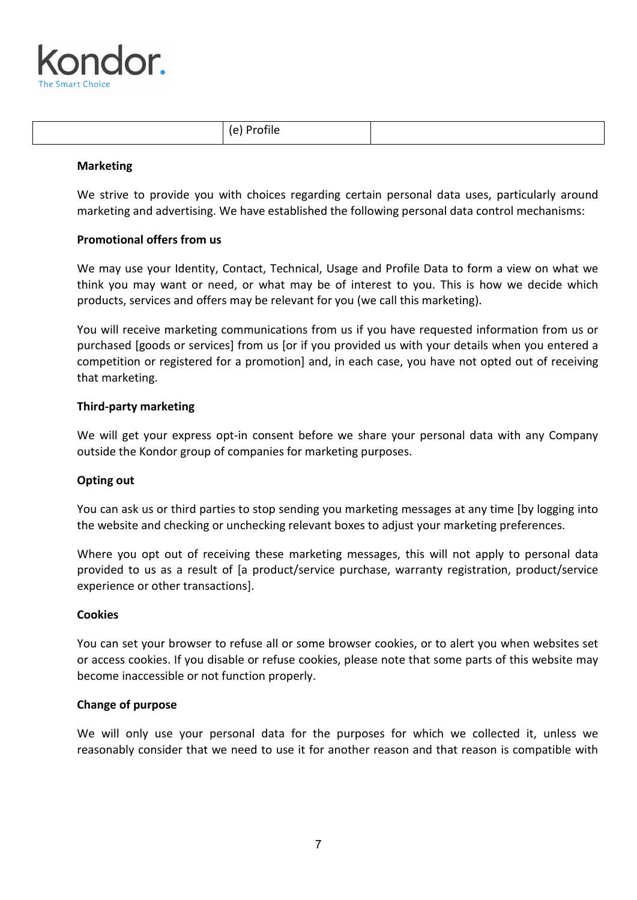

| ___ |  |
|-----|--|
|-----|--|

#### **Marketing**

We strive to provide you with choices regarding certain personal data uses, particularly around marketing and advertising. We have established the following personal data control mechanisms:

## **Promotional offers from us**

We may use your Identity, Contact, Technical, Usage and Profile Data to form a view on what we think you may want or need, or what may be of interest to you. This is how we decide which products, services and offers may be relevant for you (we call this marketing).

You will receive marketing communications from us if you have requested information from us or purchased [goods or services] from us [or if you provided us with your details when you entered a competition or registered for a promotion] and, in each case, you have not opted out of receiving that marketing.

#### **Third-party marketing**

We will get your express opt-in consent before we share your personal data with any Company outside the Kondor group of companies for marketing purposes.

## **Opting out**

You can ask us or third parties to stop sending you marketing messages at any time [by logging into the website and checking or unchecking relevant boxes to adjust your marketing preferences.

Where you opt out of receiving these marketing messages, this will not apply to personal data provided to us as a result of [a product/service purchase, warranty registration, product/service experience or other transactions].

#### **Cookies**

You can set your browser to refuse all or some browser cookies, or to alert you when websites set or access cookies. If you disable or refuse cookies, please note that some parts of this website may become inaccessible or not function properly.

#### **Change of purpose**

We will only use your personal data for the purposes for which we collected it, unless we reasonably consider that we need to use it for another reason and that reason is compatible with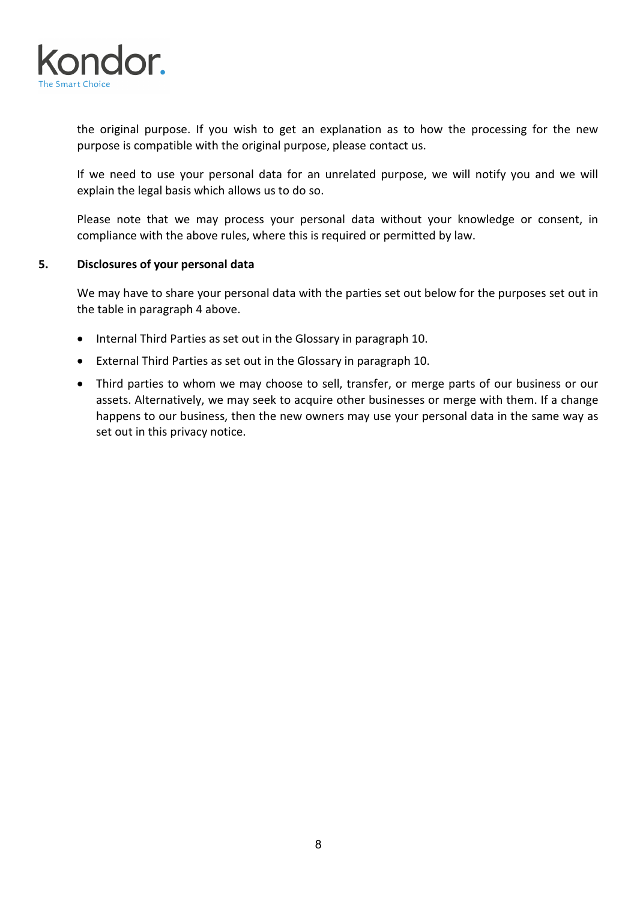

the original purpose. If you wish to get an explanation as to how the processing for the new purpose is compatible with the original purpose, please contact us.

If we need to use your personal data for an unrelated purpose, we will notify you and we will explain the legal basis which allows us to do so.

Please note that we may process your personal data without your knowledge or consent, in compliance with the above rules, where this is required or permitted by law.

## **5. Disclosures of your personal data**

We may have to share your personal data with the parties set out below for the purposes set out in the table in paragraph 4 above.

- Internal Third Parties as set out in the Glossary in paragraph 10.
- External Third Parties as set out in the Glossary in paragraph 10.
- Third parties to whom we may choose to sell, transfer, or merge parts of our business or our assets. Alternatively, we may seek to acquire other businesses or merge with them. If a change happens to our business, then the new owners may use your personal data in the same way as set out in this privacy notice.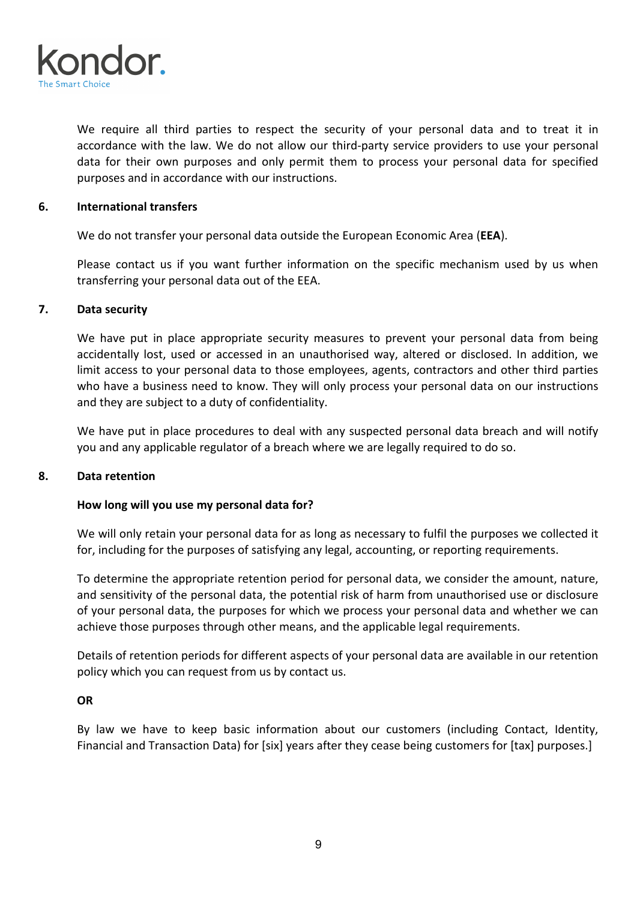

We require all third parties to respect the security of your personal data and to treat it in accordance with the law. We do not allow our third-party service providers to use your personal data for their own purposes and only permit them to process your personal data for specified purposes and in accordance with our instructions.

## **6. International transfers**

We do not transfer your personal data outside the European Economic Area (**EEA**).

Please contact us if you want further information on the specific mechanism used by us when transferring your personal data out of the EEA.

## **7. Data security**

We have put in place appropriate security measures to prevent your personal data from being accidentally lost, used or accessed in an unauthorised way, altered or disclosed. In addition, we limit access to your personal data to those employees, agents, contractors and other third parties who have a business need to know. They will only process your personal data on our instructions and they are subject to a duty of confidentiality.

We have put in place procedures to deal with any suspected personal data breach and will notify you and any applicable regulator of a breach where we are legally required to do so.

## **8. Data retention**

## **How long will you use my personal data for?**

We will only retain your personal data for as long as necessary to fulfil the purposes we collected it for, including for the purposes of satisfying any legal, accounting, or reporting requirements.

To determine the appropriate retention period for personal data, we consider the amount, nature, and sensitivity of the personal data, the potential risk of harm from unauthorised use or disclosure of your personal data, the purposes for which we process your personal data and whether we can achieve those purposes through other means, and the applicable legal requirements.

Details of retention periods for different aspects of your personal data are available in our retention policy which you can request from us by contact us.

## **OR**

By law we have to keep basic information about our customers (including Contact, Identity, Financial and Transaction Data) for [six] years after they cease being customers for [tax] purposes.]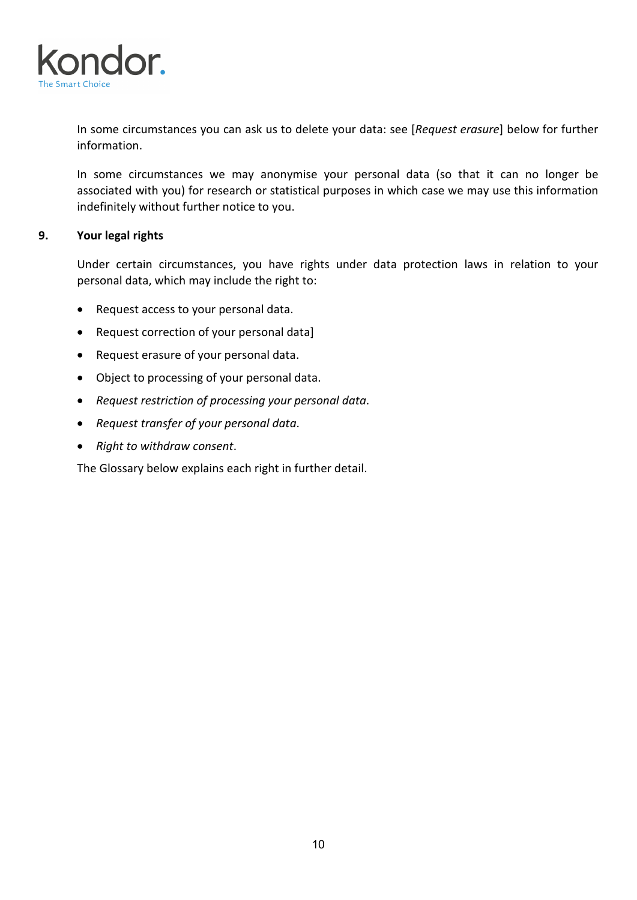

In some circumstances you can ask us to delete your data: see [*Request erasure*] below for further information.

In some circumstances we may anonymise your personal data (so that it can no longer be associated with you) for research or statistical purposes in which case we may use this information indefinitely without further notice to you.

# **9. Your legal rights**

Under certain circumstances, you have rights under data protection laws in relation to your personal data, which may include the right to:

- Request access to your personal data.
- Request correction of your personal data]
- Request erasure of your personal data.
- Object to processing of your personal data.
- *Request restriction of processing your personal data*.
- *Request transfer of your personal data*.
- *Right to withdraw consent*.

The Glossary below explains each right in further detail.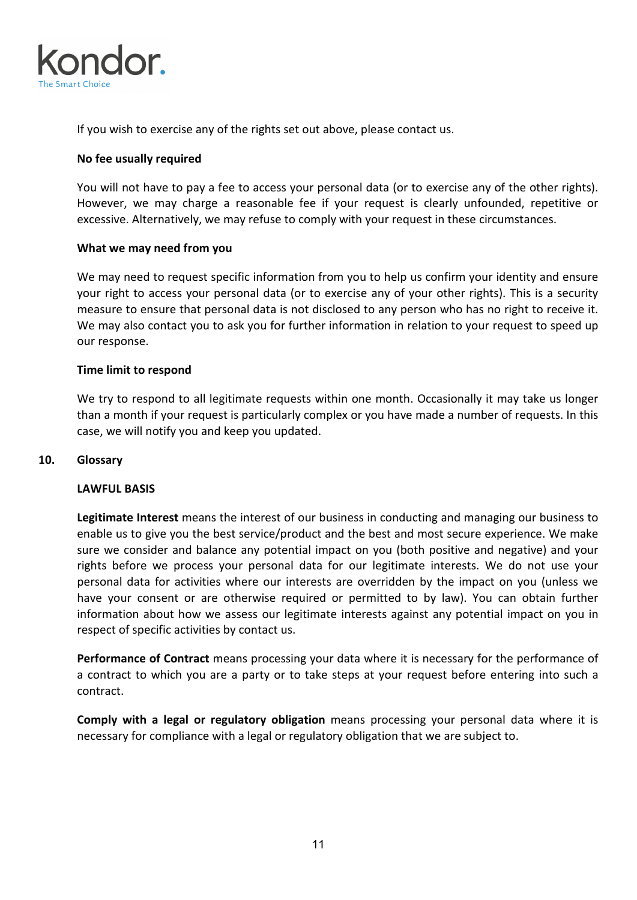

If you wish to exercise any of the rights set out above, please contact us.

#### **No fee usually required**

You will not have to pay a fee to access your personal data (or to exercise any of the other rights). However, we may charge a reasonable fee if your request is clearly unfounded, repetitive or excessive. Alternatively, we may refuse to comply with your request in these circumstances.

#### **What we may need from you**

We may need to request specific information from you to help us confirm your identity and ensure your right to access your personal data (or to exercise any of your other rights). This is a security measure to ensure that personal data is not disclosed to any person who has no right to receive it. We may also contact you to ask you for further information in relation to your request to speed up our response.

#### **Time limit to respond**

We try to respond to all legitimate requests within one month. Occasionally it may take us longer than a month if your request is particularly complex or you have made a number of requests. In this case, we will notify you and keep you updated.

#### **10. Glossary**

#### **LAWFUL BASIS**

**Legitimate Interest** means the interest of our business in conducting and managing our business to enable us to give you the best service/product and the best and most secure experience. We make sure we consider and balance any potential impact on you (both positive and negative) and your rights before we process your personal data for our legitimate interests. We do not use your personal data for activities where our interests are overridden by the impact on you (unless we have your consent or are otherwise required or permitted to by law). You can obtain further information about how we assess our legitimate interests against any potential impact on you in respect of specific activities by contact us.

**Performance of Contract** means processing your data where it is necessary for the performance of a contract to which you are a party or to take steps at your request before entering into such a contract.

**Comply with a legal or regulatory obligation** means processing your personal data where it is necessary for compliance with a legal or regulatory obligation that we are subject to.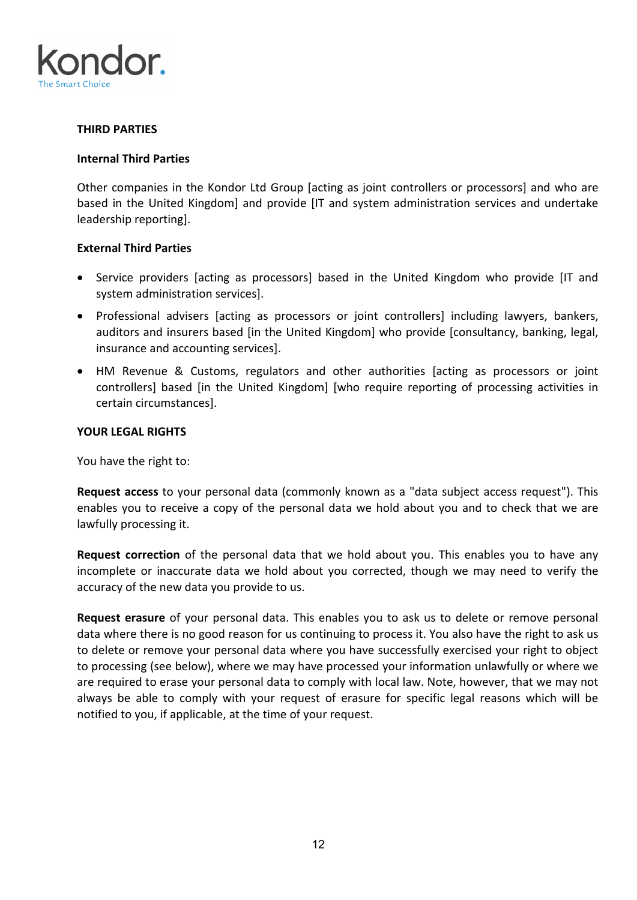

# **THIRD PARTIES**

#### **Internal Third Parties**

Other companies in the Kondor Ltd Group [acting as joint controllers or processors] and who are based in the United Kingdom] and provide [IT and system administration services and undertake leadership reporting].

## **External Third Parties**

- Service providers [acting as processors] based in the United Kingdom who provide [IT and system administration services].
- Professional advisers [acting as processors or joint controllers] including lawyers, bankers, auditors and insurers based [in the United Kingdom] who provide [consultancy, banking, legal, insurance and accounting services].
- HM Revenue & Customs, regulators and other authorities [acting as processors or joint controllers] based [in the United Kingdom] [who require reporting of processing activities in certain circumstances].

#### **YOUR LEGAL RIGHTS**

You have the right to:

**Request access** to your personal data (commonly known as a "data subject access request"). This enables you to receive a copy of the personal data we hold about you and to check that we are lawfully processing it.

**Request correction** of the personal data that we hold about you. This enables you to have any incomplete or inaccurate data we hold about you corrected, though we may need to verify the accuracy of the new data you provide to us.

**Request erasure** of your personal data. This enables you to ask us to delete or remove personal data where there is no good reason for us continuing to process it. You also have the right to ask us to delete or remove your personal data where you have successfully exercised your right to object to processing (see below), where we may have processed your information unlawfully or where we are required to erase your personal data to comply with local law. Note, however, that we may not always be able to comply with your request of erasure for specific legal reasons which will be notified to you, if applicable, at the time of your request.